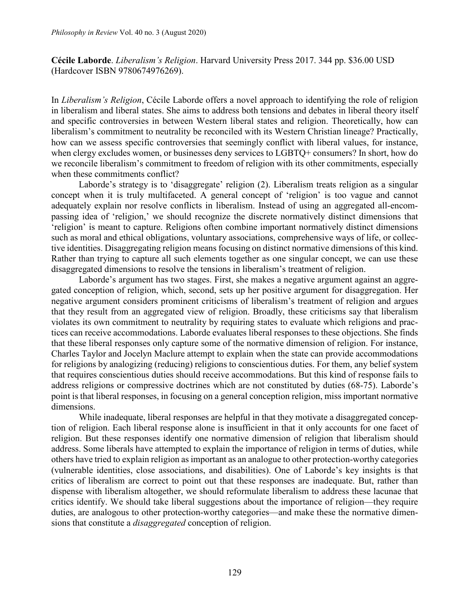**Cécile Laborde**. *Liberalism's Religion*. Harvard University Press 2017. 344 pp. \$36.00 USD (Hardcover ISBN 9780674976269).

In *Liberalism's Religion*, Cécile Laborde offers a novel approach to identifying the role of religion in liberalism and liberal states. She aims to address both tensions and debates in liberal theory itself and specific controversies in between Western liberal states and religion. Theoretically, how can liberalism's commitment to neutrality be reconciled with its Western Christian lineage? Practically, how can we assess specific controversies that seemingly conflict with liberal values, for instance, when clergy excludes women, or businesses deny services to LGBTQ+ consumers? In short, how do we reconcile liberalism's commitment to freedom of religion with its other commitments, especially when these commitments conflict?

Laborde's strategy is to 'disaggregate' religion (2). Liberalism treats religion as a singular concept when it is truly multifaceted. A general concept of 'religion' is too vague and cannot adequately explain nor resolve conflicts in liberalism. Instead of using an aggregated all-encompassing idea of 'religion,' we should recognize the discrete normatively distinct dimensions that 'religion' is meant to capture. Religions often combine important normatively distinct dimensions such as moral and ethical obligations, voluntary associations, comprehensive ways of life, or collective identities. Disaggregating religion means focusing on distinct normative dimensions of this kind. Rather than trying to capture all such elements together as one singular concept, we can use these disaggregated dimensions to resolve the tensions in liberalism's treatment of religion.

Laborde's argument has two stages. First, she makes a negative argument against an aggregated conception of religion, which, second, sets up her positive argument for disaggregation. Her negative argument considers prominent criticisms of liberalism's treatment of religion and argues that they result from an aggregated view of religion. Broadly, these criticisms say that liberalism violates its own commitment to neutrality by requiring states to evaluate which religions and practices can receive accommodations. Laborde evaluates liberal responses to these objections. She finds that these liberal responses only capture some of the normative dimension of religion. For instance, Charles Taylor and Jocelyn Maclure attempt to explain when the state can provide accommodations for religions by analogizing (reducing) religions to conscientious duties. For them, any belief system that requires conscientious duties should receive accommodations. But this kind of response fails to address religions or compressive doctrines which are not constituted by duties (68-75). Laborde's point is that liberal responses, in focusing on a general conception religion, miss important normative dimensions.

While inadequate, liberal responses are helpful in that they motivate a disaggregated conception of religion. Each liberal response alone is insufficient in that it only accounts for one facet of religion. But these responses identify one normative dimension of religion that liberalism should address. Some liberals have attempted to explain the importance of religion in terms of duties, while others have tried to explain religion as important as an analogue to other protection-worthy categories (vulnerable identities, close associations, and disabilities). One of Laborde's key insights is that critics of liberalism are correct to point out that these responses are inadequate. But, rather than dispense with liberalism altogether, we should reformulate liberalism to address these lacunae that critics identify. We should take liberal suggestions about the importance of religion—they require duties, are analogous to other protection-worthy categories—and make these the normative dimensions that constitute a *disaggregated* conception of religion.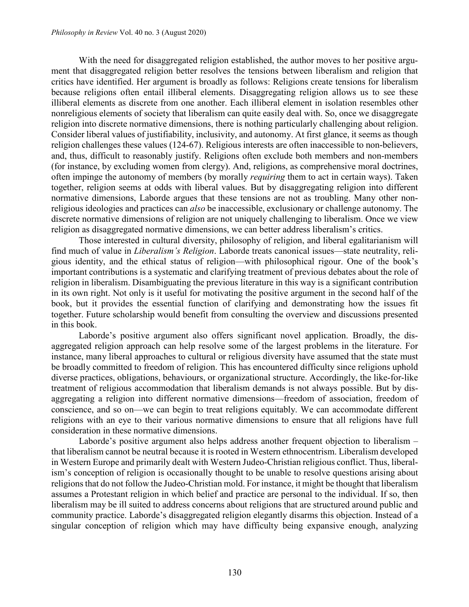With the need for disaggregated religion established, the author moves to her positive argument that disaggregated religion better resolves the tensions between liberalism and religion that critics have identified. Her argument is broadly as follows: Religions create tensions for liberalism because religions often entail illiberal elements. Disaggregating religion allows us to see these illiberal elements as discrete from one another. Each illiberal element in isolation resembles other nonreligious elements of society that liberalism can quite easily deal with. So, once we disaggregate religion into discrete normative dimensions, there is nothing particularly challenging about religion. Consider liberal values of justifiability, inclusivity, and autonomy. At first glance, it seems as though religion challenges these values (124-67). Religious interests are often inaccessible to non-believers, and, thus, difficult to reasonably justify. Religions often exclude both members and non-members (for instance, by excluding women from clergy). And, religions, as comprehensive moral doctrines, often impinge the autonomy of members (by morally *requiring* them to act in certain ways). Taken together, religion seems at odds with liberal values. But by disaggregating religion into different normative dimensions, Laborde argues that these tensions are not as troubling. Many other nonreligious ideologies and practices can *also* be inaccessible, exclusionary or challenge autonomy. The discrete normative dimensions of religion are not uniquely challenging to liberalism. Once we view religion as disaggregated normative dimensions, we can better address liberalism's critics.

Those interested in cultural diversity, philosophy of religion, and liberal egalitarianism will find much of value in *Liberalism's Religion*. Laborde treats canonical issues—state neutrality, religious identity, and the ethical status of religion—with philosophical rigour. One of the book's important contributions is a systematic and clarifying treatment of previous debates about the role of religion in liberalism. Disambiguating the previous literature in this way is a significant contribution in its own right. Not only is it useful for motivating the positive argument in the second half of the book, but it provides the essential function of clarifying and demonstrating how the issues fit together. Future scholarship would benefit from consulting the overview and discussions presented in this book.

Laborde's positive argument also offers significant novel application. Broadly, the disaggregated religion approach can help resolve some of the largest problems in the literature. For instance, many liberal approaches to cultural or religious diversity have assumed that the state must be broadly committed to freedom of religion. This has encountered difficulty since religions uphold diverse practices, obligations, behaviours, or organizational structure. Accordingly, the like-for-like treatment of religious accommodation that liberalism demands is not always possible. But by disaggregating a religion into different normative dimensions—freedom of association, freedom of conscience, and so on—we can begin to treat religions equitably. We can accommodate different religions with an eye to their various normative dimensions to ensure that all religions have full consideration in these normative dimensions.

Laborde's positive argument also helps address another frequent objection to liberalism – that liberalism cannot be neutral because it is rooted in Western ethnocentrism. Liberalism developed in Western Europe and primarily dealt with Western Judeo-Christian religious conflict. Thus, liberalism's conception of religion is occasionally thought to be unable to resolve questions arising about religions that do not follow the Judeo-Christian mold. For instance, it might be thought that liberalism assumes a Protestant religion in which belief and practice are personal to the individual. If so, then liberalism may be ill suited to address concerns about religions that are structured around public and community practice. Laborde's disaggregated religion elegantly disarms this objection. Instead of a singular conception of religion which may have difficulty being expansive enough, analyzing